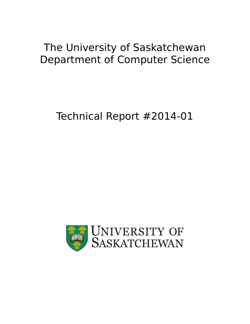## The University of Saskatchewan Department of Computer Science

# Technical Report #2014-01

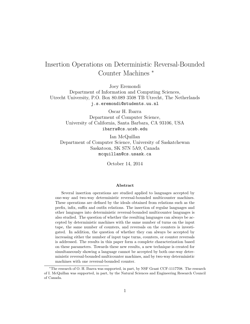## Insertion Operations on Deterministic Reversal-Bounded Counter Machines<sup>\*</sup>

Joey Eremondi

Department of Information and Computing Sciences, Utrecht University, P.O. Box 80.089 3508 TB Utrecht, The Netherlands j.s.eremondi@students.uu.nl

> Oscar H. Ibarra Department of Computer Science, University of California, Santa Barbara, CA 93106, USA ibarra@cs.ucsb.edu

Ian McQuillan Department of Computer Science, University of Saskatchewan Saskatoon, SK S7N 5A9, Canada mcquillan@cs.usask.ca

October 14, 2014

#### Abstract

Several insertion operations are studied applied to languages accepted by one-way and two-way deterministic reversal-bounded multicounter machines. These operations are defined by the ideals obtained from relations such as the prefix, infix, suffix and outfix relations. The insertion of regular languages and other languages into deterministic reversal-bounded multicounter languages is also studied. The question of whether the resulting languages can always be accepted by deterministic machines with the same number of turns on the input tape, the same number of counters, and reversals on the counters is investigated. In addition, the question of whether they can always be accepted by increasing either the number of input tape turns, counters, or counter reversals is addressed. The results in this paper form a complete characterization based on these parameters. Towards these new results, a new technique is created for simultaneously showing a language cannot be accepted by both one-way deterministic reversal-bounded multicounter machines, and by two-way deterministic machines with one reversal-bounded counter.

<sup>⇤</sup>The research of O. H. Ibarra was supported, in part, by NSF Grant CCF-1117708. The research of I. McQuillan was supported, in part, by the Natural Sciences and Engineering Research Council of Canada.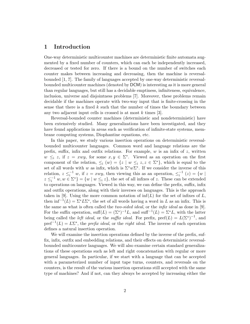## 1 Introduction

One-way deterministic multicounter machines are deterministic finite automata augmented by a fixed number of counters, which can each be independently increased, decreased or tested for zero. If there is a bound on the number of switches each counter makes between increasing and decreasing, then the machine is reversalbounded [1, 7]. The family of languages accepted by one-way deterministic reversalbounded multicounter machines (denoted by DCM) is interesting as it is more general than regular languages, but still has a decidable emptiness, infiniteness, equivalence, inclusion, universe and disjointness problems [7]. Moreover, these problems remain decidable if the machines operate with two-way input that is finite-crossing in the sense that there is a fixed *k* such that the number of times the boundary between any two adjacent input cells is crossed is at most *k* times [3].

Reversal-bounded counter machines (deterministic and nondeterministic) have been extensively studied. Many generalizations have been investigated, and they have found applications in areas such as verification of infinite-state systems, membrane computing systems, Diophantine equations, etc.

In this paper, we study various insertion operations on deterministic reversalbounded multicounter languages. Common word and language relations are the prefix, suffix, infix and outfix relations. For example,  $w$  is an infix of  $z$ , written  $w \leq i$  *z*, if  $z = xwy$ , for some  $x, y \in \Sigma^*$ . Viewed as an operation on the first component of the relation,  $\leq_i$  (*w*) = {*z* | *w*  $\leq_i$  *z*,  $z \in \Sigma^*$ }, which is equal to the set of all words with *w* as infix, which is  $\Sigma^* w \Sigma^*$ . If we consider the inverse of this relation,  $z \leq i^{-1} w$ , if  $z = xwy$ , then viewing this as an operation,  $\leq i^{-1} (z) = \{w \mid$  $z \leq i^{-1} w, w \in \Sigma^*$  =  $\{w \mid w \leq i z\}$ , the set of all infixes of *z*. These can be extended to operations on languages. Viewed in this way, we can define the prefix, suffix, infix and outfix operations, along with their inverses on languages. This is the approach taken in [9]. Using the more common notation of  $\inf(L)$  for the set of infixes of  $L$ , then  $\inf^{-1}(L) = \Sigma^* L \Sigma^*$ , the set of all words having a word in *L* as an infix. This is the same as what is often called the *two-sided ideal*, or the *infix ideal* as done in [9]. For the suffix operation,  $\text{suffix}(\mathbf{L})=(\Sigma^*)^{-1}\mathbf{L}$ , and  $\text{suffix}(\mathbf{L})=\Sigma^*\mathbf{L}$ , with the latter being called the *left ideal*, or the *suffix ideal*. For prefix,  $\text{pref}(L) = L(\Sigma^*)^{-1}$ , and  $pref^{-1}(L) = L\Sigma^*$ , the *prefix ideal*, or the *right ideal*. The inverse of each operation defines a natural insertion operation.

We will examine the insertion operations defined by the inverse of the prefix, suffix, infix, outfix and embedding relations, and their effects on deterministic reversalbounded multicounter languages. We will also examine certain standard generalizations of these operations such as left and right concatenation with regular or more general languages. In particular, if we start with a language that can be accepted with a parameterized number of input tape turns, counters, and reversals on the counters, is the result of the various insertion operations still accepted with the same type of machines? And if not, can they always be accepted by increasing either the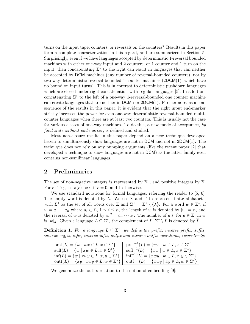turns on the input tape, counters, or reversals on the counters? Results in this paper form a complete characterization in this regard, and are summarized in Section 5. Surprisingly, even if we have languages accepted by deterministic 1-reversal bounded machines with either one-way input and 2 counters, or 1 counter and 1 turn on the input, then concatenating  $\Sigma^*$  to the right can result in languages that can neither be accepted by DCM machines (any number of reversal-bounded counters), nor by two-way deterministic reversal-bounded 1-counter machines (2DCM(1), which have no bound on input turns). This is in contrast to deterministic pushdown languages which are closed under right concatenation with regular languages [5]. In addition, concatenating  $\Sigma^*$  to the left of a one-way 1-reversal-bounded one counter machine can create languages that are neither in  $DCM$  nor  $2DCM(1)$ . Furthermore, as a consequence of the results in this paper, it is evident that the right input end-marker strictly increases the power for even one-way deterministic reversal-bounded multicounter languages when there are at least two counters. This is usually not the case for various classes of one-way machines. To do this, a new mode of acceptance, *by final state without end-marker*, is defined and studied.

Most non-closure results in this paper depend on a new technique developed herein to simultaneously show languages are not in DCM and not in  $2DCM(1)$ . The technique does not rely on any pumping arguments (like the recent paper [2] that developed a technique to show languages are not in DCM) as the latter family even contains non-semilinear languages.

## 2 Preliminaries

The set of non-negative integers is represented by  $\mathbb{N}_0$ , and positive integers by  $\mathbb{N}$ . For  $c \in \mathbb{N}_0$ , let  $\pi(c)$  be 0 if  $c = 0$ , and 1 otherwise.

We use standard notations for formal languages, referring the reader to [5, 6]. The empty word is denoted by  $\lambda$ . We use  $\Sigma$  and  $\Gamma$  to represent finite alphabets, with  $\Sigma^*$  as the set of all words over  $\Sigma$  and  $\Sigma^+ = \Sigma^* \setminus {\lambda}$ . For a word  $w \in \Sigma^*$ , if  $w = a_1 \cdots a_n$  where  $a_i \in \Sigma$ ,  $1 \leq i \leq n$ , the length of *w* is denoted by  $|w| = n$ , and the reversal of *w* is denoted by  $w^R = a_n \cdots a_1$ . The number of *a*'s, for  $a \in \Sigma$ , in *w* is  $|w|_a$ . Given a language  $L \subseteq \Sigma^*$ , the complement of  $L, \Sigma^* \setminus L$  is denoted by  $\overline{L}$ .

**Definition 1.** For a language  $L \subseteq \Sigma^*$ , we define the prefix, inverse prefix, suffix, *inverse suffix, infix, inverse infix, outfix and inverse outfix operations, respectively:* 

| $\text{pref}(L) = \{w \mid wx \in L, x \in \Sigma^*\}$   | $\text{pref}^{-1}(L) = \{wx \mid w \in L, x \in \Sigma^*\}$                                                                  |
|----------------------------------------------------------|------------------------------------------------------------------------------------------------------------------------------|
| $\text{suffix}(L) = \{w \mid xw \in L, x \in \Sigma^*\}$ | $\text{suffix}^{-1}(L) = \{xw \mid w \in L, x \in \Sigma^*\}$                                                                |
| $\inf(L) = \{w \mid xwy \in L, x, y \in \Sigma^*\}\$     | $\inf^{-1}(L) = \{xwy \mid w \in L, x, y \in \Sigma^*\}$                                                                     |
|                                                          | $\text{outf}(L) = \{ xy \mid xwy \in L, w \in \Sigma^* \}$   $\text{outf}^{-1}(L) = \{ xwy \mid xy \in L, w \in \Sigma^* \}$ |
|                                                          |                                                                                                                              |

We generalize the outfix relation to the notion of embedding [9]: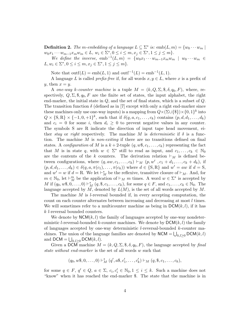**Definition 2.** *The m-embedding of a language*  $L \subseteq \Sigma^*$  *is:* emb $(L, m) = \{w_0 \cdots w_m\}$  $w_0x_1 \cdots w_{m-1}x_m w_m \in L, w_i \in \Sigma^*, 0 \le i \le m, x_j \in \Sigma^*, 1 \le j \le m$ .

*We define the inverse,*  $emb^{-1}(L, m) = \{w_0x_1 \cdots w_{m-1}x_mw_m \mid w_0 \cdots w_m \in$  $L, w_i \in \Sigma^*, 0 \le i \le m, x_j \in \Sigma^*, 1 \le j \le m$ 

Note that  $\text{outf}(L) = \text{emb}(L, 1)$  and  $\text{outf}^{-1}(L) = \text{emb}^{-1}(L, 1)$ .

A language *L* is called *prefix-free* if, for all words  $x, y \in L$ , where *x* is a prefix of  $y$ , then  $x = y$ .

A *one-way k*-counter machine is a tuple  $M = (k, Q, \Sigma, \mathcal{F}, \delta, q_0, F)$ , where, respectively,  $Q, \Sigma, \mathcal{F}, q_0, F$  are the finite set of states, the input alphabet, the right end-marker, the initial state in *Q*, and the set of final states, which is a subset of *Q*. The transition function  $\delta$  (defined as in [7] except with only a right end-marker since these machines only use one-way inputs) is a mapping from  $Q \times (\Sigma \cup {\{\$\}) \times \{0,1\}^k$  into  $Q \times \{S, R\} \times \{-1, 0, +1\}^k$ , such that if  $\delta(q, a, c_1, \ldots, c_k)$  contains  $(p, d, d_1, \ldots, d_k)$ and  $c_i = 0$  for some *i*, then  $d_i \geq 0$  to prevent negative values in any counter. The symbols S are R indicate the direction of input tape head movement, either *stay* or *right* respectively. The machine *M* is *deterministic* if  $\delta$  is a function. The machine *M* is *non-exiting* if there are no transitions defined on final states. A *configuration* of M is a  $k+2$ -tuple  $(q, w\$ 5, c\_1, \ldots, c\_k) representing the fact that *M* is in state *q*, with  $w \in \Sigma^*$  still to read as input, and  $c_1, \ldots, c_k \in \mathbb{N}_0$ are the contents of the *k* counters. The derivation relation  $\vdash_M$  is defined between configurations, where  $(q, aw, c_1, \ldots, c_k) \vdash_M (p, w', c_1 + d_1, \ldots, c_k + d_k)$ , if  $(p, d, d_1, \ldots, d_k) \in \delta(q, a, \pi(c_1), \ldots, \pi(c_k))$  where  $d \in \{S, R\}$  and  $w' = aw$  if  $d = S$ , and  $w' = w$  if  $d = \text{R}$ . We let  $\vdash_M^*$  be the reflexive, transitive closure of  $\vdash_M$ . And, for  $m \in \mathbb{N}_0$ , let  $\vdash_M^m$  be the application of  $\vdash_M^m m$  times. A word  $w \in \Sigma^*$  is accepted by  $M$  if  $(q_0, w\$ , 0, \ldots, 0) \vdash\_M^\* (q, \\$, c\_1, \ldots, c\_k), for some  $q \in F$ , and  $c_1, \ldots, c_k \in \mathbb{N}_0$ . The language accepted by *M*, denoted by *L*(*M*), is the set of all words accepted by *M*.

The machine *M* is *l*-reversal bounded if, in every accepting computation, the count on each counter alternates between increasing and decreasing at most *l* times. We will sometimes refer to a multicounter machine as being in  $DCM(k, l)$ , if it has *k l*-reversal bounded counters.

We denote by  $NCM(k, l)$  the family of languages accepted by one-way nondeterministic *l*-reversal-bounded *k*-counter machines. We denote by DCM(*k,l*) the family of languages accepted by one-way deterministic *l*-reversal-bounded *k*-counter machines. The union of the language families are denoted by  $NCM = \bigcup_{k,l\geq 0} DCM(k,l)$ and  $DCM = \bigcup_{k,l\geq 0} DCM(k,l).$ 

Given a DCM machine  $M = (k, Q, \Sigma, \mathcal{S}, \delta, q_0, F)$ , the language accepted by final *state without end-marker* is the set of all words *w* such that

$$
(q_0, w\$, 0, \ldots, 0) \vdash_M^* (q', a\$, c'_1, \ldots, c'_k) \vdash_M (q, \$, c_1, \ldots, c_k),
$$

for some  $q \in F$ ,  $q' \in Q$ ,  $a \in \Sigma$ ,  $c_i, c_i' \in \mathbb{N}_0, 1 \le i \le k$ . Such a machine does not "know" when it has reached the end-marker \$. The state that the machine is in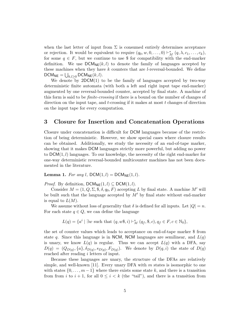when the last letter of input from  $\Sigma$  is consumed entirely determines acceptance or rejection. It would be equivalent to require  $(q_0, w, 0, \ldots, 0) \vdash_M^* (q, \lambda, c_1, \ldots, c_k)$ , for some  $q \in F$ , but we continue to use \$ for compatibility with the end-marker definition. We use  $DCM_{NE}(k, l)$  to denote the family of languages accepted by these machines when they have *k* counters that are *l*-reversal-bounded. We define  $DCM_{NE} = \bigcup_{k,l \geq 0} DCM_{NE}(k,l).$ 

We denote by  $2DCM(1)$  to be the family of languages accepted by two-way deterministic finite automata (with both a left and right input tape end-marker) augmented by one reversal-bounded counter, accepted by final state. A machine of this form is said to be *finite-crossing* if there is a bound on the number of changes of direction on the input tape, and *t*-crossing if it makes at most *t* changes of direction on the input tape for every computation.

## 3 Closure for Insertion and Concatenation Operations

Closure under concatenation is difficult for DCM languages because of the restriction of being deterministic. However, we show special cases where closure results can be obtained. Additionally, we study the necessity of an end-of-tape marker, showing that it makes DCM languages strictly more powerful, but adding no power to DCM(1*, l*) languages. To our knowledge, the necessity of the right end-marker for one-way deterministic reversal-bounded multicounter machines has not been documented in the literature.

**Lemma 1.** For any *l*,  $DCM(1, l) = DCM_{NE}(1, l)$ .

*Proof.* By definition,  $DCM_{NE}(1, l) \subseteq DCM(1, l)$ .

Consider  $M = (1, Q, \Sigma, \emptyset, \delta, q_0, F)$  accepting *L* by final state. A machine M' will be built such that the language accepted by  $M'$  by final state without end-marker is equal to  $L(M)$ .

We assume without loss of generality that  $\delta$  is defined for all inputs. Let  $|Q| = n$ . For each state  $q \in Q$ , we can define the language

$$
L(q) = \{a^i \mid \exists w \text{ such that } (q, w\$, i) \vdash_M^* (q_f, \$, c), q_f \in F, c \in \mathbb{N}_0\},\
$$

the set of counter values which leads to acceptance on end-of-tape marker \$ from state q. Since this language is in NCM, NCM languages are semilinear, and  $L(q)$ is unary, we know  $L(q)$  is regular. Thus we can accept  $L(q)$  with a DFA, say  $D(q) = (Q_{D(q)}, \{a\}, \delta_{D(q)}, s_{D(q)}, F_{D(q)})$ . We denote by  $D(q, i)$  the state of  $D(q)$ reached after reading *i* letters of input.

Because these languages are unary, the structure of the DFAs are relatively simple, and well-known [11]. Every unary DFA with *m* states is isomorphic to one with states  $\{0,\ldots,m-1\}$  where there exists some state k, and there is a transition from from *i* to  $i + 1$ , for all  $0 \leq i < k$  (the "tail"), and there is a transition from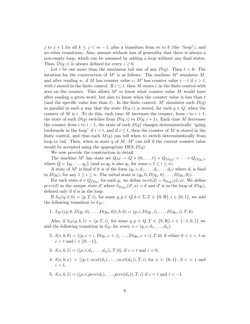*j* to  $j + 1$  for all  $k \leq j < m - 1$ , plus a transition from *m* to *k* (the "loop"), and no other transitions. Also, assume without loss of generality that there is always a non-empty loop, which can be assumed by adding a loop without any final states. Thus,  $D(q, i)$  is always defined for every  $i \geq 0$ .

Let *t* be one more than the maximum tail size of any  $D(q)$ . Then  $t > 0$ . The intuition for the construction of  $M'$  is as follows. The machine  $M'$  simulates  $M$ , and after reading *w*, if *M* has counter value *c*, *M'* has counter value  $c - t$  if  $c > t$ , with *t* stored in the finite control. If  $c \leq t$ , then M stores *c* in the finite control with zero on the counter. This allows  $M'$  to know what counter value  $M$  would have after reading a given word, but also to know when the counter value is less than *t* (and the specific value less than *t*). In the finite control,  $M'$  simulates each  $D(q)$ in parallel in such a way that the state  $D(q, i)$  is stored, for each  $q \in Q$ , when the counter of *M* is *i*. To do this, each time *M* increases the counter, from *i* to  $i + 1$ , the state of each  $D(q)$  switches from  $D(q, i)$  to  $D(q, i + 1)$ . Each time M decreases the counter from *i* to  $i-1$ , the state of each  $D(q)$  changes deterministically "going" backwards in the loop" if  $i > t$ , and if  $i \leq t$ , then the counter of M is stored in the finite control, and thus each  $M(q)$  can tell when to switch deterministically from loop to tail. Then, when in state  $q$  of  $M$ ,  $M'$  can tell if the current counter value would be accepted using the appropriate DFA *D*(*q*).

We now provide the construction in detail:

The machine *M'* has state set  $Q_{M'} = Q \times \{0, \ldots, t\} \times Q_{D(q_1)} \times \cdots \times Q_{D(q_n)}$ , where  $Q = \{q_1, \ldots, q_n\}$  (and so  $q_0$  is also  $q_i$ , for some  $i, 1 \leq i \leq n$ ).

A state of M' is final if it is of the form  $(q_i, c, d_1, \ldots, d_i, \ldots, d_n)$  where  $d_i$  is final in  $D(q_i)$ , for any  $1 \le i \le n$ . The initial state is  $(q_0, 0, D(q_1, 0), \ldots, D(q_n, 0)).$ 

For each state  $d \in Q_{D(q_i)}$  for each  $q_i$ , we define  $next(d) = \delta_{D(q_i)}(d, a)$ . We define *prev*(*d*) as the unique state *d*<sup> $\prime$ </sup> where  $\delta_{D(q_i)}(d', a) = d$  and *d*<sup> $\prime$ </sup> is in the loop of  $D(q_i)$ , defined only if *d* is in the loop.

If  $\delta_M(q, b, 0) = (p, T, i)$ , for some  $q, p \in Q, b \in \Sigma, T \in \{S, R\}, i \in \{0, 1\}$ , we add the following transition to  $\delta_{M'}$ :

1. 
$$
\delta_{M'}((q,0,D(q_1,0),\ldots,D(q_n,0)),b,0)=(p,i,D(q_1,i),\ldots,D(q_n,i),T,0).
$$

Also, if  $\delta_M(q, b, 1) = (p, T, i)$ , for some  $q, p \in Q, T \in \{S, R\}, i \in \{-1, 0, 1\}$  we add the following transition in  $\delta_{M'}$  for every  $s = (q, c, d_1, \ldots, d_n)$ :

- 2.  $\delta(s, b, 0) = ((p, c + i, D(q_1, c + i), \ldots, D(q_n, c + i), T, 0)$  if either  $0 < c < t$  or  $c = t$  and  $i \in \{0, -1\},\$
- 3.  $\delta(s, b, 1) = ((p, t, d_1, \ldots, d_n)), T, 0$ , if  $c = t$  and  $i = 0$ ,
- 4.  $\delta(s, b, x) = ((p, t, next(d_1), \ldots, next(d_n)), T, i)$  for  $x \in \{0, 1\}$ , if  $c = t$  and  $i = 1$ ,
- 5.  $\delta(s, b, 1) = ((p, t, prev(d_1), \ldots, prev(d_n)), T, i)$  if  $c = t$  and  $i = -1$ .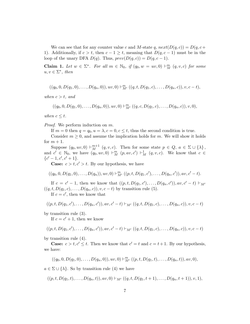We can see that for any counter value *c* and *M*-state *q*,  $next(D(q, c)) = D(q, c+)$ 1). Additionally, if  $c > t$ , then  $c - 1 \geq t$ , meaning that  $D(q, c - 1)$  must be in the loop of the unary DFA  $D(q)$ . Thus,  $prev(D(q, c)) = D(q, c - 1)$ .

**Claim 1.** Let  $w \in \Sigma^*$ . For all  $m \in \mathbb{N}_0$ , if  $(q_0, w = uv, 0) \vdash_M^m (q, v, c)$  for some  $u, v \in \Sigma^*$ *, then* 

$$
((q_0, 0, D(q_1, 0), \ldots, D(q_n, 0)), uv, 0) \vdash_M^{m} ((q, t, D(q_1, c), \ldots, D(q_n, c)), v, c-t),
$$

*when*  $c > t$ *, and* 

$$
((q_0, 0, D(q_1, 0), \ldots, D(q_n, 0)), uv, 0) \vdash_{M'}^m ((q, c, D(q_1, c), \ldots, D(q_n, c)), v, 0),
$$

*when*  $c \leq t$ *.* 

*Proof.* We perform induction on *m*.

If  $m = 0$  then  $q = q_0, u = \lambda, c = 0, c \leq t$ , thus the second condition is true.

Consider  $m \geq 0$ , and assume the implication holds for m. We will show it holds for  $m + 1$ .

Suppose  $(q_0, uv, 0) \vdash_M^{m+1} (q, v, c)$ . Then for some state  $p \in Q$ ,  $a \in \Sigma \cup \{\lambda\},$ and  $c' \in \mathbb{N}_0$ , we have  $(q_0, uv, 0) \vdash_M^m (p, av, c') \vdash_M^1 (q, v, c)$ . We know that  $c \in$  $\{c' - 1, c', c' + 1\}.$ 

**Case:**  $c > t, c' > t$ . By our hypothesis, we have

$$
((q_0, 0, D(q_1, 0), \ldots, D(q_n)), uv, 0) \vdash_{M'}^m ((p, t, D(q_1, c'), \ldots, D(q_n, c')), av, c' - t).
$$

If  $c = c' - 1$ , then we know that  $((p, t, D(q_1, c'), \ldots, D(q_n, c'))$ ,  $av, c' - t$ )  $\vdash_{M'}$  $((q, t, D(q_1, c), \ldots, D(q_n, c)), v, c - t)$  by transition rule (5).

If  $c = c'$ , then we know that

$$
((p, t, D(q_1, c'), \ldots, D(q_n, c')), av, c' - t) \vdash_{M'} ((q, t, D(q_1, c), \ldots, D(q_n, c)), v, c - t)
$$

by transition rule (3).

If  $c = c' + 1$ , then we know

$$
((p, t, D(q_1, c'), \ldots, D(q_n, c')), av, c' - t) \vdash_{M'} ((q, t, D(q_1, c), \ldots, D(q_n, c)), v, c - t)
$$

by transition rule (4).

**Case:**  $c > t, c' \leq t$ . Then we know that  $c' = t$  and  $c = t + 1$ . By our hypothesis, we have:

$$
((q_0, 0, D(q_1, 0), \ldots, D(q_n, 0)), uv, 0) \vdash_{M'}^m ((p, t, D(q_1, t), \ldots, D(q_n, t)), av, 0),
$$

 $a \in \Sigma \cup \{\lambda\}$ . So by transition rule (4) we have

 $((p, t, D(q_1, t), \ldots, D(q_n, t)), av, 0) \vdash_{M'} ((q, t, D(q_1, t + 1), \ldots, D(q_n, t + 1)), v, 1),$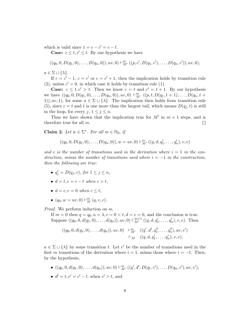which is valid since  $1 = c - c' = c - t$ .

**Case:**  $c \le t, c' \le t$ . By our hypothesis we have

$$
((q_0, 0, D(q_1, 0), \ldots, D(q_n, 0)), uv, 0) \vdash_M^m ((p, c', D(q_1, c'), \ldots, D(q_n, c')), av, 0),
$$

 $a \in \Sigma \cup \{\lambda\}.$ 

If  $c = c' - 1$ ,  $c = c'$  or  $c = c' + 1$ , then the implication holds by transition rule (2), unless  $c' = 0$ , in which case it holds by transition rule (1).

**Case:**  $c \le t, c' > t$ . Then we know  $c = t$  and  $c' = t + 1$ . By our hypothesis we have  $((q_0, 0, D(q_1, 0), \ldots, D(q_n, 0)), uv, 0) \vdash_{M'}^{m} ((p, t, D(q_1, t + 1), \ldots, D(q_n, t +$ 1),  $av, 1$ , for some  $a \in \Sigma \cup \{\lambda\}$ . The implication then holds from transition rule (5), since  $c = t$  and  $t$  is one more than the largest tail, which means  $D(q_j, t)$  is still in the loop, for every  $j, 1 \leq j \leq n$ .

Thus we have shown that the implication true for  $M'$  in  $m + 1$  steps, and is therefore true for all *m*.  $\Box$ 

**Claim 2.** Let  $w \in \Sigma^*$ . For all  $m \in \mathbb{N}_0$ , if

$$
((q_0, 0, D(q_1, 0), \ldots, D(q_n, 0)), w = uv, 0) \vdash_{M'}^m ((q, d, q'_1, \ldots, q'_n), v, e)
$$

and c is the number of transitions used in the derivation where  $i = 1$  in the con*struction, minus the number of transitions used where*  $i = -1$  *in the construction, then the following are true:*

- $q'_{j} = D(q_{j}, c)$ *, for*  $1 \leq j \leq n$ *,*
- $d = t, e = c t$  when  $c > t$ ,
- $d = c, e = 0$  when  $c \leq t$ ,
- $(q_0, w = uv, 0) \vdash_M^m (q, v, c)$ .

*Proof.* We perform induction on *m*.

If  $m = 0$  then  $q = q_0, u = \lambda, c = 0 \lt t, d = e = 0$ , and the conclusion is true. Suppose  $((q_0, 0, d(q_1, 0),..., d(q_n)), uv, 0) \vdash_{M'}^{m+1} ((q, d, q'_1,..., q'_n), v, e)$ . Then

$$
((q_0, 0, d(q_1, 0),..., d(q_n)), uv, 0) \quad \vdash^m_{M'} \quad ((q', d', q''_1, ..., q''_n), av, e') \newline \vdash_M \quad ((q, d, q'_1, ..., q'_n), v, e),
$$

 $a \in \Sigma \cup \{\lambda\}$  by some transition *t*. Let *c'* be the number of transitions used in the first *m* transitions of the derivation where  $i = 1$ , minus those where  $i = -1$ . Then, by the hypothesis,

- $((q_0, 0, d(q_1, 0), \ldots, d(q_n)), uv, 0) \vdash^m_{M'} ((q', d', D(q_1, c'), \ldots, D(q_n, c'), av, e'),$
- $d' = t, e' = c' t$ , when  $c' > t$ , and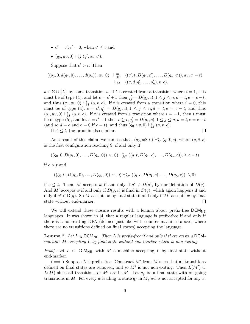- $d' = c', e' = 0$ , when  $c' \leq t$  and
- $(q_0, uv, 0) \vdash_M^m (q', av, c').$

Suppose that  $c' > t$ . Then

$$
((q_0, 0, d(q_1, 0),..., d(q_n)), uv, 0) \quad \vdash^m_{M'} \quad ((q', t, D(q_1, c'),..., D(q_n, c')), av, c' - t) \qquad \vdash_M \quad ((q, d, q'_1,..., q'_n), v, e),
$$

 $a \in \Sigma \cup \{\lambda\}$  by some transition *t*. If *t* is created from a transition where  $i = 1$ , this must be of type (4), and let  $c = c' + 1$  then  $q'_{j} = D(q_{j}, c), 1 \leq j \leq n, d = t, e = c - t$ , and thus  $(q_0, uv, 0) \vdash_M^* (q, v, c)$ . If *t* is created from a transition where  $i = 0$ , this must be of type (4),  $c = c', q'_{j} = D(q_{j}, c), 1 \leq j \leq n, d = t, e = c - t$ , and thus  $(q_0, uv, 0) \vdash_M^* (q, v, c)$ . If *t* is created from a transition where  $i = -1$ , then *t* must be of type (5), and let  $c = c' - 1$  then  $c \ge t$ ,  $q'_j = D(q_j, c)$ ,  $1 \le j \le n$ ,  $d = t$ ,  $e = c - t$  $(\text{and so } d = c \text{ and } e = 0 \text{ if } c = t), \text{ and thus } (q_0, uv, 0) \vdash_M^* (q, v, c).$ 

If  $c' \leq t$ , the proof is also similar.

$$
\qquad \qquad \Box
$$

As a result of this claim, we can see that,  $(q_0, w\$ , 0) \vdash\_M^\* (q, \\$, c), where  $(q, \$, c)$ is the first configuration reaching \$, if and only if

$$
((q_0, 0, D(q_1, 0), \ldots, D(q_n, 0)), w, 0) \vdash^*_{M'} ((q, t, D(q_1, c), \ldots, D(q_n, c)), \lambda, c - t)
$$

if *c>t* and

$$
((q_0, 0, D(q_1, 0), \ldots, D(q_n, 0)), w, 0) \vdash^*_{M'} ((q, c, D(q_1, c), \ldots, D(q_n, c)), \lambda, 0)
$$

if  $c \leq t$ . Then, M accepts w if and only if  $a^c \in D(q)$ , by our definition of  $D(q)$ . And *M'* accepts *w* if and only if  $D(q, c)$  is final in  $D(q)$ , which again happens if and only if  $a^c \in D(q)$ . So *M* accepts *w* by final state if and only if *M'* accepts *w* by final state without end-marker. state without end-marker.

We will extend these closure results with a lemma about prefix-free  $DCM_{NE}$ languages. It was shown in [4] that a regular language is prefix-free if and only if there is a non-exiting DFA (defined just like with counter machines above, where there are no transitions defined on final states) accepting the language.

**Lemma 2.** Let  $L \in \text{DCM}_{\text{NE}}$ . Then L is prefix-free if and only if there exists a DCM*machine M accepting L by final state without end-marker which is non-exiting.*

*Proof.* Let  $L \in \text{DCM}_{\text{NE}}$ , with *M* a machine accepting *L* by final state without end-marker.

 $(\implies)$  Suppose *L* is prefix-free. Construct *M'* from *M* such that all transitions defined on final states are removed, and so  $M'$  is not non-exiting. Then  $L(M') \subseteq$  $L(M)$  since all transitions of M' are in M. Let  $q_f$  be a final state with outgoing transitions in M. For every *w* leading to state  $q_f$  in M, wx is not accepted for any x.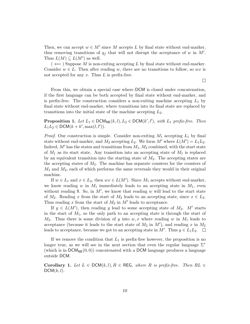Then, we can accept  $w \in M'$  since M accepts L by final state without end-marker, thus removing transitions of  $q_f$  that will not disrupt the acceptance of *w* in  $M'$ . Thus  $L(M) \subseteq L(M')$  as well.

 $($   $\Leftarrow$   $)$  Suppose *M* is non-exiting accepting *L* by final state without end-marker. Consider  $w \in L$ . Then after reading *w*, there are no transitions to follow, so *wx* is not accepted for any *x*. Thus *L* is prefix-free.

From this, we obtain a special case where DCM is closed under concatenation, if the first language can be both accepted by final state without end-marker, and is prefix-free. The construction considers a non-exiting machine accepting  $L_1$  by final state without end-marker, where transitions into its final state are replaced by transitions into the initial state of the machine accepting *L*2.

**Proposition 1.** Let  $L_1 \in \text{DCM}_{\text{NE}}(k, l), L_2 \in \text{DCM}(k', l')$ , with  $L_1$  prefix-free. Then  $L_1L_2 \in \text{DCM}(k + k', \max(l, l')).$ 

*Proof.* Our construction is simple. Consider non-exiting *M*<sup>1</sup> accepting *L*<sup>1</sup> by final state without end-marker, and  $M_2$  accepting  $L_2$ . We form  $M'$  where  $L(M') = L_1 L_2$ . Indeed,  $M'$  has the states and transitions from  $M_1, M_2$  combined, with the start state of *M*<sup>1</sup> as its start state. Any transition into an accepting state of *M*<sup>1</sup> is replaced by an equivalent transition into the starting state of *M*2. The accepting states are the accepting states of *M*2. The machine has separate counters for the counters of *M*<sup>1</sup> and *M*2, each of which performs the same reversals they would in their original machine.

If  $w \in L_1$  and  $x \in L_2$ , then  $wx \in L(M')$ . Since  $M_1$  accepts without end-marker, we know reading  $w$  in  $M_1$  immediately leads to an accepting state in  $M_1$ , even without reading \$. So, in  $M'$ , we know that reading  $w$  will lead to the start state of  $M_2$ . Reading x from the start of  $M_2$  leads to an accepting state, since  $x \in L_2$ . Thus reading  $x$  from the start of  $M_2$  in  $M'$  leads to acceptance.

If  $y \in L(M')$ , then reading *y* lead to some accepting state of  $M_2$ . M' starts in the start of *M*1, so the only path to an accepting state is through the start of  $M_2$ . Thus there is some division of *y* into *w*, *x* where reading *w* in  $M_1$  leads to acceptance (because it leads to the start state of  $M_2$  in  $M'$ ), and reading  $x$  in  $M_2$ leads to acceptance, because we got to an accepting state in  $M'$ . Thus  $y \in L_1L_2$ .

If we remove the condition that *L*<sup>1</sup> is prefix-free however, the proposition is no longer true, as we will see in the next section that even the regular language  $\Sigma^*$ (which is in  $DCM_{NE}(0,0)$ ) concatenated with a DCM language produces a language outside DCM.

**Corollary 1.** Let  $L \in \text{DCM}(k, l), R \in \text{REG}$ , where R is prefix-free. Then  $RL \in$  $DCM(k, l)$ .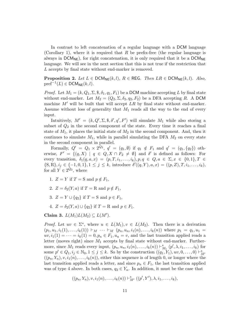In contrast to left concatenation of a regular language with a DCM language (Corollary 1), where it is required that *R* be prefix-free (the regular language is always in  $DCM_{NE}$ ), for right concatenation, it is only required that it be a  $DCM_{NE}$ language. We will see in the next section that this is not true if the restriction that *L* accepts by final state without end-marker is removed.

**Proposition 2.** Let  $L \in \text{DCM}_{\text{NE}}(k,l)$ ,  $R \in \text{REG}$ . Then  $LR \in \text{DCM}_{\text{NE}}(k,l)$ . Also,  $\text{pref}^{-1}(L) \in \text{DCM}_{\text{NE}}(k,l).$ 

*Proof.* Let  $M_1 = (k, Q_1, \Sigma, \mathcal{F}, \delta_1, q_1, F_1)$  be a DCM machine accepting L by final state without end-marker. Let  $M_2 = (Q_2, \Sigma, \delta_2, q_2, F_2)$  be a DFA accepting R. A DCM machine  $M'$  will be built that will accept  $LR$  by final state without end-marker. Assume without loss of generality that *M*<sup>1</sup> reads all the way to the end of every input.

Intuitively,  $M' = (k, Q', \Sigma, \mathcal{F}, \delta', q', F')$  will simulate  $M_1$  while also storing a subset of  $Q_2$  in the second component of the state. Every time it reaches a final state of  $M_1$ , it places the initial state of  $M_2$  in the second component. And, then it continues to simulate  $M_1$ , while in parallel simulating the DFA  $M_2$  on every state in the second component in parallel.

Formally,  $Q' = Q_1 \times 2^{Q_2}$ ,  $q' = (q_1, \emptyset)$  if  $q_1 \notin F_1$  and  $q' = (q_1, \{q_2\})$  otherwise,  $F' = \{(q, X) | q \in Q, X \cap F_2 \neq \emptyset\}$  and  $\delta'$  is defined as follows: For every transition,  $\delta_1(q, a, x) = (p, T, i_1, \ldots, i_k), p, q \in Q, a \in \Sigma, x \in \{0, 1\}, T \in$  ${S, R}, i_j \in \{-1, 0, 1\}, 1 \leq j \leq k$ , introduce  $\delta'((q, Y), a, x) = ((p, Z), T, i_1, \ldots, i_k),$ for all  $Y \in 2^{Q_2}$ , where

- 1.  $Z = Y$  if  $T = S$  and  $p \notin F_1$ ,
- 2.  $Z = \delta_2(Y, a)$  if  $T = R$  and  $p \notin F_1$ ,
- 3.  $Z = Y \cup \{q_2\}$  if  $T = S$  and  $p \in F_1$ ,
- 4.  $Z = \delta_2(Y, a) \cup \{q_2\}$  if  $T = R$  and  $p \in F_1$ .

Claim 3.  $L(M_1)L(M_2) \subseteq L(M')$ .

*Proof.* Let  $uv \in \Sigma^*$ , where  $u \in L(M_1), v \in L(M_2)$ . Then there is a derivation  $(p_1, u_1, i_1(1), \ldots, i_k(1)) \vdash_M \cdots \vdash_M (p_n, u_n, i_1(n), \ldots, i_k(n))$  where  $p_1 = q_1, u_1 =$  $uv, i_1(1) = \cdots = i_k(1) = 0, p_n \in F_1, u_n = v$ , and the last transition applied reads a letter (moves right) since *M*<sup>1</sup> accepts by final state without end-marker. Furthermore, since  $M_1$  reads every input,  $(p_n, u_n, i_1(n), \ldots, i_k(n)) \vdash_{M_1}^* (p', \lambda, i_1, \ldots, i_k)$  for some  $p' \in Q_1, i_j \in \mathbb{N}_0, 1 \le j \le k$ . So by the construction  $((q_1, Y_1), uv, 0, ..., 0) \vdash_M^*$  $((p_n, Y_n), v, i_1(n), \ldots, i_k(n))$ , either this sequence is of length 0, or longer where the last transition applied reads a letter, and since  $p_n \in F_1$ , the last transition applied was of type 4 above. In both cases,  $q_2 \in Y_n$ . In addition, it must be the case that

$$
((p_n, Y_n), v, i_1(n), \ldots, i_k(n)) \vdash^*_{M'} ((p', Y'), \lambda, i_1, \ldots, i_k),
$$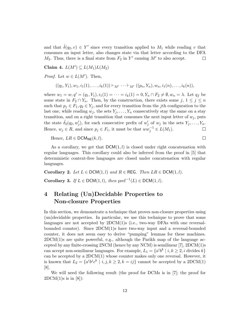and that  $\hat{\delta}(q_2, v) \in Y'$  since every transition applied to  $M_1$  while reading *v* that consumes an input letter, also changes state via that letter according to the DFA  $M_2$ . Thus, there is a final state from  $F_2$  in  $Y'$  causing  $M'$  to also accept.  $\Box$ 

Claim 4.  $L(M') \subseteq L(M_1)L(M_2)$ 

*Proof.* Let  $w \in L(M')$ . Then,

$$
((q_1,Y_1),w_1,i_1(1),\ldots,i_k(1))\vdash_{M'}\cdots\vdash_{M'}((p_n,Y_n),w_n,i_1(n),\ldots,i_k(n)),
$$

where  $w_1 = w, q' = (q_1, Y_1), i_1(1) = \cdots = i_k(1) = 0, Y_n \cap F_2 \neq \emptyset, w_n = \lambda$ . Let  $q_f$  be some state in  $F_2 \cap Y_n$ . Then, by the construction, there exists some *j*,  $1 \leq j \leq n$ such that  $p_j \in F_1, q_2 \in Y_j$ , and for every transition from the *j*th configuration to the last one, while reading  $w_j$ , the sets  $Y_j, \ldots, Y_n$  consecutively stay the same on a stay transition, and on a right transition that consumes the next input letter of  $w_j$ , puts the state  $\hat{\delta}_2(q_2, w'_j)$ , for each consecutive prefix of  $w'_j$  of  $w_j$  in the sets  $Y_j, \ldots, Y_n$ . Hence,  $w_j \in R$ , and since  $p_j \in F_1$ , it must be that  $ww_j^{-1} \in L(M_1)$ .  $\Box$ 

Hence,  $LR \in \text{DCM}_{\text{NE}}(k,l)$ .

As a corollary, we get that 
$$
DCM(1, l)
$$
 is closed under right concatenation with regular languages. This corollary could also be inferred from the proof in [5] that deterministic context-free languages are closed under concatenation with regular languages.

 $\Box$ 

Corollary 2. Let  $L \in \text{DCM}(1, l)$  and  $R \in \text{REG}$ . Then  $LR \in \text{DCM}(1, l)$ . Corollary 3. If  $L \in \text{DCM}(1, l)$ , then  $\text{pref}^{-1}(L) \in \text{DCM}(1, l)$ .

## 4 Relating (Un)Decidable Properties to Non-closure Properties

In this section, we demonstrate a technique that proves non-closure properties using (un)decidable properties. In particular, we use this technique to prove that some languages are not accepted by  $2DCM(1)s$  (i.e., two-way DFAs with one reversalbounded counter). Since 2DCM(1)s have two-way input and a reversal-bounded counter, it does not seem easy to derive "pumping" lemmas for these machines.  $2DCM(1)$ s are quite powerful, e.g., although the Parikh map of the language accepted by any finite-crossing  $2NCM$  (hence by any NCM) is semilinear [7],  $2DCM(1)s$ can accept non-semilinear languages. For example,  $L_1 = \{a^i b^k \mid i, k \geq 2, i \text{ divides } k\}$ can be accepted by a 2DCM(1) whose counter makes only one reversal. However, it is known that  $L_2 = \{a^i b^j c^k \mid i, j, k \ge 2, k = ij\}$  cannot be accepted by a 2DCM(1) [8].

We will need the following result (the proof for DCMs is in [7]; the proof for  $2DCM(1)s$  is in [8]):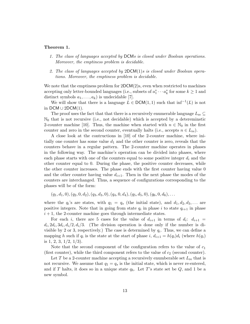#### Theorem 1.

- *1. The class of languages accepted by* DCM*s is closed under Boolean operations. Moreover, the emptiness problem is decidable.*
- *2. The class of languages accepted by* 2DCM(1)*s is closed under Boolean operations. Moreover, the emptiness problem is decidable.*

We note that the emptiness problem for  $2DCM(2)$ s, even when restricted to machines accepting only letter-bounded languages (i.e., subsets of  $a_1^* \cdots a_k^*$  for some  $k \ge 1$  and distinct symbols  $a_1, \ldots, a_k$  is undecidable [7].

We will show that there is a language  $L \in \text{DCM}(1, 1)$  such that  $\inf^{-1}(L)$  is not in DCM  $\cup$  2DCM(1).

The proof uses the fact that that there is a recursively enumerable language  $L_{\text{re}} \subseteq$  $\mathbb{N}_0$  that is not recursive (i.e., not decidable) which is accepted by a detereminstic 2-counter machine [10]. Thus, the machine when started with  $n \in \mathbb{N}_0$  in the first counter and zero in the second counter, eventually halts (i.e., accepts  $n \in L_{\text{re}}$ ).

A close look at the contructions in [10] of the 2-counter machine, where initially one counter has some value  $d_1$  and the other counter is zero, reveals that the counters behave in a regular pattern. The 2-counter machine operates in phases in the following way. The machine's operation can be divided into phases, where each phase starts with one of the counters equal to some positive integer *d<sup>i</sup>* and the other counter equal to 0. During the phase, the positive counter decreases, while the other counter increases. The phase ends with the first counter having value 0 and the other counter having value  $d_{i+1}$ . Then in the next phase the modes of the counters are interchanged. Thus, a sequence of configurations corresponding to the phases will be of the form:

 $(q_1, d_1, 0), (q_2, 0, d_2), (q_3, d_3, 0), (q_4, 0, d_4), (q_5, d_5, 0), (q_6, 0, d_6), \ldots$ 

where the  $q_i$ 's are states, with  $q_1 = q_s$  (the initial state), and  $d_1, d_2, d_3, \ldots$  are positive integers. Note that in going from state  $q_i$  in phase *i* to state  $q_{i+1}$  in phase  $i + 1$ , the 2-counter machine goes through intermediate states.

For each *i*, there are 5 cases for the value of  $d_{i+1}$  in terms of  $d_i$ :  $d_{i+1}$  =  $d_i$ ,  $2d_i$ ,  $3d_i$ ,  $d_i/2$ ,  $d_i/3$ . (The division operation is done only if the number is divisible by 2 or 3, respectively.) The case is determined by  $q_i$ . Thus, we can define a mapping *h* such if  $q_i$  is the state at the start of phase  $i, d_{i+1} = h(q_i)d_i$  (where  $h(q_i)$ ) is  $1, 2, 3, 1/2, 1/3$ .

Note that the second component of the configuration refers to the value of *c*<sup>1</sup> (first counter), while the third component refers to the value of *c*<sup>2</sup> (second counter).

Let *T* be a 2-counter machine accepting a recursively enumberable set  $L_{\text{re}}$  that is not recursive. We assume that  $q_1 = q_s$  is the initial state, which is never re-entered, and if *T* halts, it does so in a unique state  $q_h$ . Let *T*'s state set be *Q*, and 1 be a new symbol.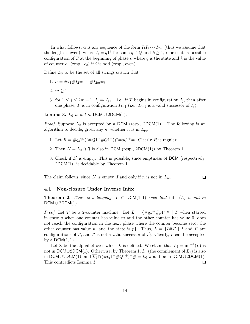In what follows,  $\alpha$  is any sequence of the form  $I_1I_2 \cdots I_{2m}$  (thus we assume that the length is even), where  $I_i = q1^k$  for some  $q \in Q$  and  $k \ge 1$ , represents a possible configuration of  $T$  at the beginning of phase  $i$ , where  $q$  is the state and  $k$  is the value of counter  $c_1$  (resp.,  $c_2$ ) if *i* is odd (resp., even).

Define  $L_0$  to be the set of all strings  $\alpha$  such that

- 1.  $\alpha = \#I_1 \#I_2 \# \cdots \#I_{2m} \#;$
- 2.  $m > 1$ :
- 3. for  $1 \leq j \leq 2m-1$ ,  $I_j \Rightarrow I_{j+1}$ , i.e., if *T* begins in configuration  $I_j$ , then after one phase, *T* is in configuration  $I_{j+1}$  (i.e.,  $I_{j+1}$  is a valid successor of  $I_j$ );

**Lemma 3.**  $L_0$  *is not in* DCM  $\cup$  2DCM(1).

*Proof.* Suppose  $L_0$  is accepted by a DCM (resp., 2DCM(1)). The following is an algorithm to decide, given any *n*, whether *n* is in *L*re.

- 1. Let  $R = \#q_s 1^n((\#Q1^+\#Q1^+))^* \#q_h 1^+\#$ . Clearly R is regular.
- 2. Then  $L' = L_0 \cap R$  is also in DCM (resp., 2DCM(1)) by Theorem 1.
- 3. Check if *L'* is empty. This is possible, since emptiness of DCM (respectively,  $2DCM(1)$  is decidable by Theorem 1.

 $\Box$ 

The claim follows, since  $L'$  is empty if and only if *n* is not in  $L_{\text{re}}$ .

#### 4.1 Non-closure Under Inverse Infix

**Theorem 2.** *There is a language*  $L \in \text{DCM}(1,1)$  *such that*  $\inf^{-1}(L)$  *is not in*  $DCM \cup 2DCM(1)$ .

*Proof.* Let *T* be a 2-counter machine. Let  $L = \{\#q1^m\#p1^n\#\,|\,T\}$  when started in state *q* when one counter has value *m* and the other counter has value 0, does not reach the configuration in the next phase where the counter become zero, the other counter has value *n*, and the state is *p}*. Thus,  $L = \{I \# I' \mid I \text{ and } I' \text{ are } I \}$ configurations of *T*, and *I'* is not a valid successor of  $I$ *}*. Clearly, *L* can be accepted by a  $DCM(1, 1)$ .

Let  $\Sigma$  be the alphabet over which *L* is defined. We claim that  $L_1 = \inf^{-1}(L)$  is not in DCM $\cup$ 2DCM(1). Otherwise, by Theorem 1,  $\overline{L_1}$  (the complement of  $L_1$ ) is also in DCM  $\cup$  2DCM(1), and  $\overline{L_1} \cap (\#Q1^+ \#Q1^+)^+ \# = L_0$  would be in DCM  $\cup$  2DCM(1).<br>This contradicts Lemma 3. This contradicts Lemma 3.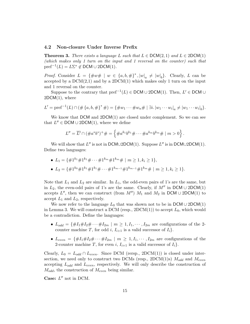#### 4.2 Non-closure Under Inverse Prefix

**Theorem 3.** There exists a language L such that  $L \in \text{DCM}(2,1)$  and  $L \in 2\text{DCM}(1)$ *(which makes only 1 turn on the input and 1 reversal on the counter) such that*  $\text{pref}^{-1}(L) = L\Sigma^* \notin \text{DCM} \cup 2\text{DCM}(1)$ .

*Proof.* Consider  $L = {\#w\# | w \in \{a, b, \# \}^*, |w|_a \neq |w|_b\}$ . Clearly, *L* can be accepted by a  $DCM(2,1)$  and by a  $2DCM(1)$  which makes only 1 turn on the input and 1 reversal on the counter.

Suppose to the contrary that  $\text{pref}^{-1}(L) \in \text{DCM} \cup 2\text{DCM}(1)$ . Then,  $L' \in \text{DCM} \cup$  $2DCM(1)$ , where

$$
L' = \text{pref}^{-1}(L) \cap (\#\{a,b,\#\}^* \#) = \{\#w_1 \cdots \#w_n\# \mid \exists i. |w_1 \cdots w_i|_a \neq |w_1 \cdots w_i|_b\}.
$$

We know that  $DCM$  and  $2DCM(1)$  are closed under complement. So we can see that  $L'' \in \text{DCM} \cup 2\text{DCM}(1)$ , where we define

$$
L'' = \overline{L'} \cap (\#a^*b^*)^+ \# = \left\{ \#a^{k_1}b^{k_1} \# \cdots \#a^{k_m}b^{k_m} \# \mid m > 0 \right\}.
$$

We will show that  $L''$  is not in DCM $\cup$ 2DCM(1). Suppose  $L''$  is in DCM $\cup$ 2DCM(1). Define two languages:

- $L_1 = {\{\#1^{k_1} \#1^{k_1} \# \cdots \#1^{k_m} \#1^{k_m} \# \mid m \geq 1, k_i \geq 1 \},\}$
- $L_2 = {\#1^{k_0} \#1^{k_1} \#1^{k_1} \# \cdots \#1^{k_{m-1}} \#1^{k_{m-1}} \#1^{k_m} \# \mid m \geq 1, k_i \geq 1}.$

Note that  $L_1$  and  $L_2$  are similar. In  $L_1$ , the odd-even pairs of 1's are the same, but in  $L_2$ , the even-odd pairs of 1's are the same. Clearly, if  $M''$  in DCM  $\cup$  2DCM(1) accepts  $L''$ , then we can construct (from  $M''$ )  $M_1$  and  $M_2$  in DCM  $\cup$  2DCM(1) to accept *L*<sup>1</sup> and *L*2, respectively.

We now refer to the language  $L_0$  that was shown not to be in  $DCM \cup 2DCM(1)$ in Lemma 3. We will construct a DCM (resp.,  $2DCM(1)$ ) to accept  $L_0$ , which would be a contradiction. Define the languages:

- $L_{odd} = \{ \#I_1 \#I_2 \# \cdots \#I_{2m} \mid m \ge 1, I_1, \cdots, I_{2m} \text{ are configurations of the 2-}$ counter machine *T*, for odd *i*,  $I_{i+1}$  is a valid successor of  $I_i$ .
- $L_{even} = \{ \#I_1 \#I_2 \# \cdots \#I_{2m} \mid m \geq 1, I_1, \cdots, I_{2m} \text{ are configurations of the } \}$ 2-counter machine *T*, for even *i*,  $I_{i+1}$  is a valid successor of  $I_i$ .

Clearly,  $L_0 = L_{odd} \cap L_{even}$ . Since DCM (rersp., 2DCM(1)) is closed under intersection, we need only to construct two DCMs (resp., 2DCM(1)s) *Modd* and *Meven* accepting *Lodd* and *Leven*, respectively. We will only describe the construction of *Modd*, the construction of *Meven* being similar.

**Case:**  $L''$  not in DCM.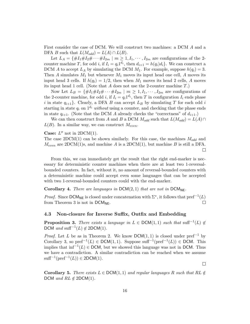First consider the case of DCM. We will construct two machines: a DCM *A* and a DFA *B* such that  $L(M_{odd}) = L(A) \cap L(B)$ .

Let  $L_A = \{ \#I_1 \#I_2 \# \cdots \#I_{2m} \mid m \geq 1, I_1, \cdots, I_{2m} \text{ are configurations of the 2-}$ counter machine *T*, for odd *i*, if  $I_i = q_i 1^{d_i}$ , then  $d_{i+1} = h(q_i)d_i$ . We can construct a DCM *A* to accept  $L_A$  by simulating the DCM  $M_1$ . For example, suppose  $h(q_i) = 3$ . Then  $A$  simulates  $M_1$  but whenever  $M_1$  moves its input head one cell,  $A$  moves its input head 3 cells. If  $h(q_i)=1/2$ , then when  $M_1$  moves its head 2 cells, *A* moves its input head 1 cell. (Note that *A* does not use the 2-counter machine *T*.)

Now Let  $L_B = \{ \#I_1 \#I_2 \# \cdots \#I_{2m} \mid m \geq 1, I_1, \cdots, I_{2m} \text{ are configurations of } \}$ the 2-counter machine, for odd *i*, if  $I_i = q_i 1^{d_i}$ , then *T* in configuration  $I_i$  ends phase *i* in state  $q_{i+1}$ . Clearly, a DFA *B* can accept  $L_B$  by simulating *T* for each odd *i* starting in state  $q_i$  on  $1^{d_i}$  *without* using a counter, and checking that the phase ends in state  $q_{i+1}$ . (Note that the DCM *A* already checks the "correctness" of  $d_{i+1}$ .)

We can then construct from *A* and *B* a DCM  $M_{odd}$  such that  $L(M_{odd}) = L(A) \cap$  $L(B)$ . In a similar way, we can construct  $M_{even}$ .

**Case:**  $L''$  not in 2DCM(1).

The case 2DCM(1) can be shown similarly. For this case, the machines *Modd* and  $M_{even}$  are 2DCM(1)s, and machine *A* is a 2DCM(1), but machine *B* is still a DFA.  $\Box$ 

From this, we can immediately get the result that the right end-marker is necessary for deterministic counter machines when there are at least two 1-reversalbounded counters. In fact, without it, no amount of reversal-bounded counters with a deterministic machine could accept even some languages that can be accepted with two 1-reversal-bounded counters could with the end-marker.

#### Corollary 4. *There are languages in*  $DCM(2, 1)$  *that are not in*  $DCM_{NE}$ .

*Proof.* Since  $DCM_{NE}$  is closed under concatenation with  $\Sigma^*$ , it follows that  $pref^{-1}(L)$ from Theorem 3 is not in  $DCM_{NE}$ .  $\Box$ 

### 4.3 Non-closure for Inverse Suffix, Outfix and Embedding

**Proposition 3.** There exists a language in  $L \in \text{DCM}(1,1)$  such that suff<sup>-1</sup>(*L*)  $\notin$ DCM and suff<sup> $-1$ </sup>(*L*)  $\notin$  2DCM(1)*.* 

*Proof.* Let *L* be as in Theorem 2. We know  $DCM(1, 1)$  is closed under pref<sup>-1</sup> by Corollary 3, so  $\text{pref}^{-1}(L) \in \text{DCM}(1,1)$ . Suppose  $\text{suffix}^{-1}(\text{pref}^{-1}(L)) \in \text{DCM}$ . This implies that  $\inf^{-1}(L) \in \text{DCM}$ , but we showed this language was not in DCM. Thus we have a contradiction. A similar contradiction can be reached when we assume  $\text{suffix}^{-1}(\text{pref}^{-1}(L)) \in 2DCM(1).$ 

 $\Box$ 

**Corollary 5.** *There exists*  $L \in \text{DCM}(1, 1)$  *and regular languages*  $R$  *such that*  $RL \notin$ DCM and  $RL \notin 2DCM(1)$ .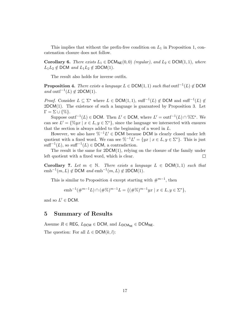This implies that without the prefix-free condition on *L*<sup>1</sup> in Proposition 1, concatenation closure does not follow.

**Corollary 6.** *There exists*  $L_1 \in {\sf DCM}_{\sf NE}(0,0)$  *(regular), and*  $L_2 \in {\sf DCM}(1,1)$ *, where*  $L_1L_2 \notin \mathsf{DCM}$  *and*  $L_1L_2 \notin 2\mathsf{DCM}(1)$ *.* 

The result also holds for inverse outfix.

**Proposition 4.** *There exists a language*  $L \in \text{DCM}(1, 1)$  *such that* outf<sup>-1</sup>(*L*)  $\notin$  DCM *and* outf<sup> $-1$ </sup>(*L*)  $\notin$  2DCM(1)*.* 

*Proof.* Consider  $L \subseteq \Sigma^*$  where  $L \in \text{DCM}(1,1)$ , suff<sup>-1</sup>(*L*)  $\notin$  DCM and suff<sup>-1</sup>(*L*)  $\notin$  $2DCM(1)$ . The existence of such a language is guaranteed by Proposition 3. Let  $\Gamma = \Sigma \cup \{\% \}.$ 

Suppose outf<sup>-1</sup>(*L*)  $\in$  DCM. Then *L'*  $\in$  DCM, where *L'* = outf<sup>-1</sup>(*L*)  $\cap$  %∑<sup>\*</sup>. We can see  $L' = \{\%yx \mid x \in L, y \in \Sigma^*\}$ , since the language we intersected with ensures that the section is always added to the beginning of a word in *L*.

However, we also have  $\%^{-1}L' \in \mathsf{DCM}$  because DCM is clearly closed under left quotient with a fixed word. We can see  $\%^{-1}L' = \{yx \mid x \in L, y \in \Sigma^*\}$ . This is just  $\text{suffix}^{-1}(L)$ , so  $\text{suffix}^{-1}(L) \in \text{DCM}$ , a contradiction.

The result is the same for 2DCM(1), relying on the closure of the family under left quotient with a fixed word, which is clear.  $\Box$ 

**Corollary 7.** Let  $m \in \mathbb{N}$ . There exists a language  $L \in \text{DCM}(1, 1)$  such that  $emb^{-1}(m, L) \notin \text{DCM}$  *and*  $emb^{-1}(m, L) \notin 2\text{DCM}(1)$ *.* 

This is similar to Proposition 4 except starting with  $\#^{m-1}$ , then

 $e^{m b^{-1} (\#^{m-1} L) \cap (\# \%)^{m-1} L} = \{ (\# \%)^{m-1} yx \mid x \in L, y \in \Sigma^* \},$ 

and so  $L' \in \text{DCM}$ .

### 5 Summary of Results

Assume  $R \in \text{REG}$ ,  $L_{\text{DCM}} \in \text{DCM}$ , and  $L_{\text{DCM}_{\text{NE}}} \in \text{DCM}_{\text{NE}}$ . The question: For all  $L \in \text{DCM}(k, l)$ :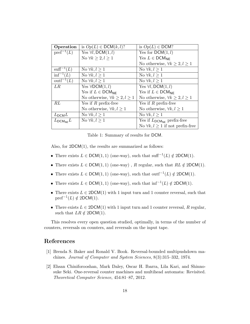| Operation                     | is $Op(L) \in \text{DCM}(k, l)$ ?          | is $Op(L) \in \text{DCM}$ ?                     |
|-------------------------------|--------------------------------------------|-------------------------------------------------|
| $\text{pref}^{-1}(L)$         | Yes $\forall l$ , DCM $(1, l)$             | Yes for $DCM(1, l)$                             |
|                               | No $\forall k \geq 2, l \geq 1$            | Yes $L \in \text{DCM}_{\text{NF}}$              |
|                               |                                            | No otherwise, $\forall k \geq 2, l \geq 1$      |
| $\text{suff}^{-1}(L)$         | No $\forall k, l \geq 1$                   | No $\forall k, l \geq 1$                        |
| $\inf^{-1}(L)$                | No $\forall k, l \geq 1$                   | No $\forall k, l \geq 1$                        |
| $\text{outf}^{-1}(L)$         | No $\forall k, l \geq 1$                   | No $\forall k, l \geq 1$                        |
| LR                            | Yes $\forall$ DCM $(1, l)$                 | Yes $\forall l$ , DCM $(1, l)$                  |
|                               | Yes if $L \in \text{DCM}_{\text{NF}}$      | Yes if $L \in \text{DCM}_{\text{NF}}$           |
|                               | No otherwise, $\forall k \geq 2, l \geq 1$ | No otherwise, $\forall k \geq 2, l \geq 1$      |
| RL                            | Yes if $R$ prefix-free                     | Yes if $R$ prefix-free                          |
|                               | No otherwise, $\forall k, l \geq 1$        | No otherwise, $\forall k, l \geq 1$             |
| $L_{\text{DCM}}L$             | No $\forall k,l \geq 1$                    | No $\forall k, l \geq 1$                        |
| $L_{\text{DCM}_{\text{NE}}}L$ | No $\forall k, l \geq 1$                   | Yes if $L_{\text{DCM}_{\text{NE}}}$ prefix-free |
|                               |                                            | No $\forall k, l \geq 1$ if not prefix-free     |

Table 1: Summary of results for DCM.

Also, for  $2DCM(1)$ , the results are summarized as follows:

- There exists  $L \in \text{DCM}(1, 1)$  (one-way), such that suff<sup>-1</sup>(*L*)  $\notin$  2DCM(1).
- There exists  $L \in \text{DCM}(1,1)$  (one-way), *R* regular, such that  $RL \notin 2\text{DCM}(1)$ .
- There exists  $L \in \text{DCM}(1, 1)$  (one-way), such that outf<sup>-1</sup>(*L*)  $\notin$  2DCM(1).
- There exists  $L \in \text{DCM}(1,1)$  (one-way), such that  $\inf^{-1}(L) \notin 2\text{DCM}(1)$ .
- There exists  $L \in 2DCM(1)$  with 1 input turn and 1 counter reversal, such that  $\text{pref}^{-1}(L) \notin 2\text{DCM}(1).$
- There exists  $L \in 2DCM(1)$  with 1 input turn and 1 counter reversal, R regular, such that  $LR \notin 2DCM(1)$ .

This resolves every open question studied, optimally, in terms of the number of counters, reversals on counters, and reversals on the input tape.

## References

- [1] Brenda S. Baker and Ronald V. Book. Reversal-bounded multipushdown machines. *Journal of Computer and System Sciences*, 8(3):315–332, 1974.
- [2] Ehsan Chiniforooshan, Mark Daley, Oscar H. Ibarra, Lila Kari, and Shinnosuke Seki. One-reversal counter machines and multihead automata: Revisited. *Theoretical Computer Science*, 454:81–87, 2012.